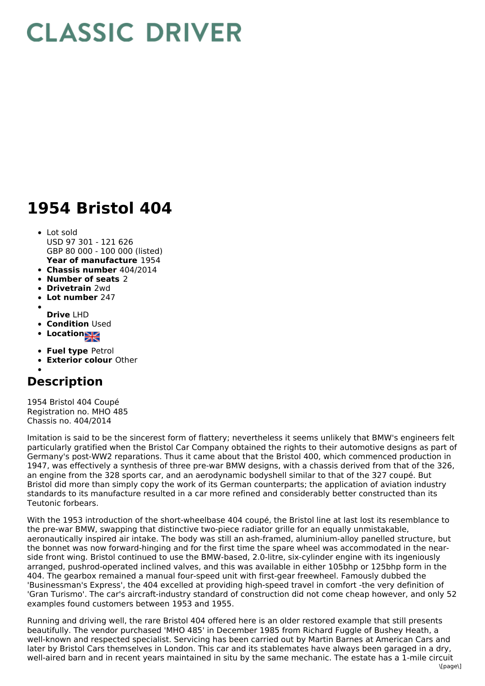## **CLASSIC DRIVER**

## **1954 Bristol 404**

- **Year of manufacture** 1954 Lot sold USD 97 301 - 121 626 GBP 80 000 - 100 000 (listed)
- **Chassis number** 404/2014
- **Number of seats** 2
- **Drivetrain** 2wd
- **Lot number** 247
- 
- **Drive** LHD
- **Condition Used**
- **Location**
- **Fuel type** Petrol
- **Exterior colour** Other
- 

## **Description**

1954 Bristol 404 Coupé Registration no. MHO 485 Chassis no. 404/2014

Imitation is said to be the sincerest form of flattery; nevertheless it seems unlikely that BMW's engineers felt particularly gratified when the Bristol Car Company obtained the rights to their automotive designs as part of Germany's post-WW2 reparations. Thus it came about that the Bristol 400, which commenced production in 1947, was effectively a synthesis of three pre-war BMW designs, with a chassis derived from that of the 326, an engine from the 328 sports car, and an aerodynamic bodyshell similar to that of the 327 coupé. But Bristol did more than simply copy the work of its German counterparts; the application of aviation industry standards to its manufacture resulted in a car more refined and considerably better constructed than its Teutonic forbears.

With the 1953 introduction of the short-wheelbase 404 coupé, the Bristol line at last lost its resemblance to the pre-war BMW, swapping that distinctive two-piece radiator grille for an equally unmistakable, aeronautically inspired air intake. The body was still an ash-framed, aluminium-alloy panelled structure, but the bonnet was now forward-hinging and for the first time the spare wheel was accommodated in the nearside front wing. Bristol continued to use the BMW-based, 2.0-litre, six-cylinder engine with its ingeniously arranged, pushrod-operated inclined valves, and this was available in either 105bhp or 125bhp form in the 404. The gearbox remained a manual four-speed unit with first-gear freewheel. Famously dubbed the 'Businessman's Express', the 404 excelled at providing high-speed travel in comfort -the very definition of 'Gran Turismo'. The car's aircraft-industry standard of construction did not come cheap however, and only 52 examples found customers between 1953 and 1955.

Running and driving well, the rare Bristol 404 offered here is an older restored example that still presents beautifully. The vendor purchased 'MHO 485' in December 1985 from Richard Fuggle of Bushey Heath, a well-known and respected specialist. Servicing has been carried out by Martin Barnes at American Cars and later by Bristol Cars themselves in London. This car and its stablemates have always been garaged in a dry, well-aired barn and in recent years maintained in situ by the same mechanic. The estate has a 1-mile circuit